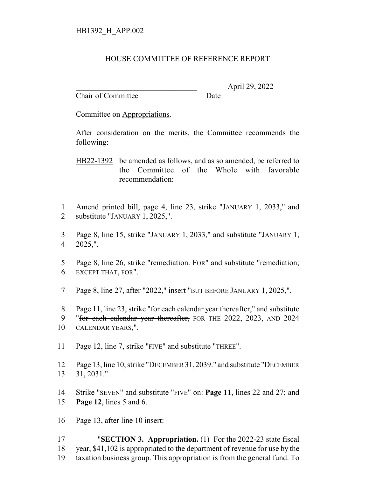## HOUSE COMMITTEE OF REFERENCE REPORT

Chair of Committee Date

\_\_\_\_\_\_\_\_\_\_\_\_\_\_\_\_\_\_\_\_\_\_\_\_\_\_\_\_\_\_\_ April 29, 2022

Committee on Appropriations.

After consideration on the merits, the Committee recommends the following:

HB22-1392 be amended as follows, and as so amended, be referred to the Committee of the Whole with favorable recommendation:

- Amend printed bill, page 4, line 23, strike "JANUARY 1, 2033," and substitute "JANUARY 1, 2025,".
- Page 8, line 15, strike "JANUARY 1, 2033," and substitute "JANUARY 1, 2025,".
- Page 8, line 26, strike "remediation. FOR" and substitute "remediation; EXCEPT THAT, FOR".
- Page 8, line 27, after "2022," insert "BUT BEFORE JANUARY 1, 2025,".
- Page 11, line 23, strike "for each calendar year thereafter," and substitute
- 9 "for each calendar year thereafter, FOR THE 2022, 2023, AND 2024

- Page 12, line 7, strike "FIVE" and substitute "THREE".
- Page 13, line 10, strike "DECEMBER 31,2039." and substitute "DECEMBER 31, 2031.".
- Strike "SEVEN" and substitute "FIVE" on: **Page 11**, lines 22 and 27; and **Page 12**, lines 5 and 6.
- Page 13, after line 10 insert:
- "**SECTION 3. Appropriation.** (1) For the 2022-23 state fiscal year, \$41,102 is appropriated to the department of revenue for use by the taxation business group. This appropriation is from the general fund. To

CALENDAR YEARS,".